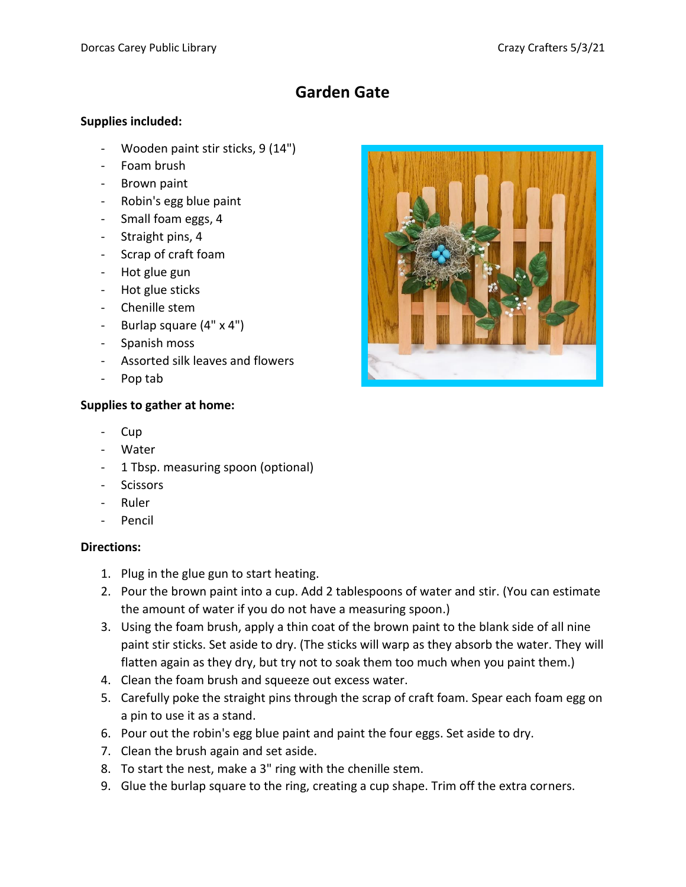## **Garden Gate**

## **Supplies included:**

- Wooden paint stir sticks, 9 (14")
- Foam brush
- Brown paint
- Robin's egg blue paint
- Small foam eggs, 4
- Straight pins, 4
- Scrap of craft foam
- Hot glue gun
- Hot glue sticks
- Chenille stem
- Burlap square (4" x 4")
- Spanish moss
- Assorted silk leaves and flowers
- Pop tab

## **Supplies to gather at home:**

- Cup
- Water
- 1 Tbsp. measuring spoon (optional)
- Scissors
- Ruler
- Pencil

## **Directions:**

- 1. Plug in the glue gun to start heating.
- 2. Pour the brown paint into a cup. Add 2 tablespoons of water and stir. (You can estimate the amount of water if you do not have a measuring spoon.)
- 3. Using the foam brush, apply a thin coat of the brown paint to the blank side of all nine paint stir sticks. Set aside to dry. (The sticks will warp as they absorb the water. They will flatten again as they dry, but try not to soak them too much when you paint them.)
- 4. Clean the foam brush and squeeze out excess water.
- 5. Carefully poke the straight pins through the scrap of craft foam. Spear each foam egg on a pin to use it as a stand.
- 6. Pour out the robin's egg blue paint and paint the four eggs. Set aside to dry.
- 7. Clean the brush again and set aside.
- 8. To start the nest, make a 3" ring with the chenille stem.
- 9. Glue the burlap square to the ring, creating a cup shape. Trim off the extra corners.